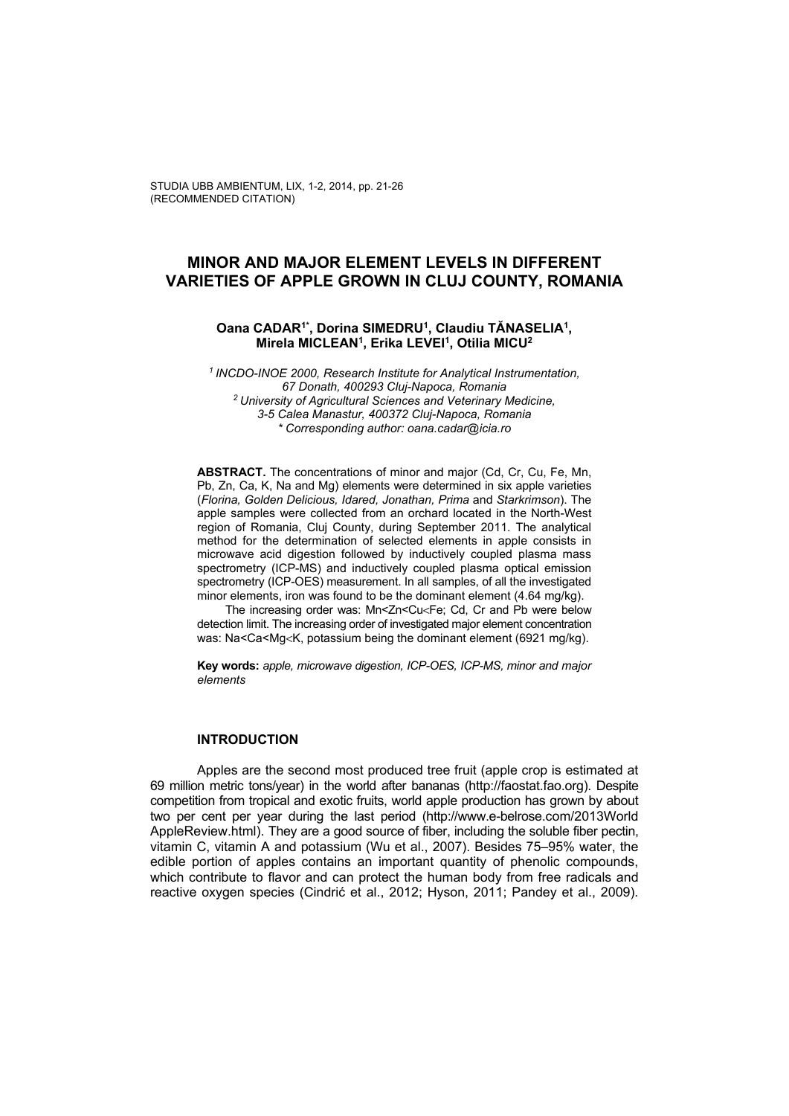# **MINOR AND MAJOR ELEMENT LEVELS IN DIFFERENT VARIETIES OF APPLE GROWN IN CLUJ COUNTY, ROMANIA**

**Oana CADAR1\*, Dorina SIMEDRU1, Claudiu TĂNASELIA1, Mirela MICLEAN1, Erika LEVEI1, Otilia MICU2**

*1 INCDO-INOE 2000, Research Institute for Analytical Instrumentation, 67 Donath, 400293 Cluj-Napoca, Romania 2 University of Agricultural Sciences and Veterinary Medicine, 3-5 Calea Manastur, 400372 Cluj-Napoca, Romania \* Corresponding author: oana.cadar@icia.ro* 

**ABSTRACT.** The concentrations of minor and major (Cd, Cr, Cu, Fe, Mn, Pb, Zn, Ca, K, Na and Mg) elements were determined in six apple varieties (*Florina, Golden Delicious, Idared, Jonathan, Prima* and *Starkrimson*). The apple samples were collected from an orchard located in the North-West region of Romania, Cluj County, during September 2011. The analytical method for the determination of selected elements in apple consists in microwave acid digestion followed by inductively coupled plasma mass spectrometry (ICP-MS) and inductively coupled plasma optical emission spectrometry (ICP-OES) measurement. In all samples, of all the investigated minor elements, iron was found to be the dominant element (4.64 mg/kg).

The increasing order was: Mn<Zn<Cu<Fe; Cd, Cr and Pb were below detection limit. The increasing order of investigated major element concentration was: Na<Ca<Mg<K, potassium being the dominant element (6921 mg/kg).

**Key words:** *apple, microwave digestion, ICP-OES, ICP-MS, minor and major elements*

### **INTRODUCTION**

Apples are the second most produced tree fruit (apple crop is estimated at 69 million metric tons/year) in the world after bananas (http://faostat.fao.org). Despite competition from tropical and exotic fruits, world apple production has grown by about two per cent per year during the last period (http://www.e-belrose.com/2013World AppleReview.html). They are a good source of fiber, including the soluble fiber pectin, vitamin C, vitamin A and potassium (Wu et al., 2007). Besides 75–95% water, the edible portion of apples contains an important quantity of phenolic compounds, which contribute to flavor and can protect the human body from free radicals and reactive oxygen species (Cindrić et al., 2012; Hyson, 2011; Pandey et al., 2009).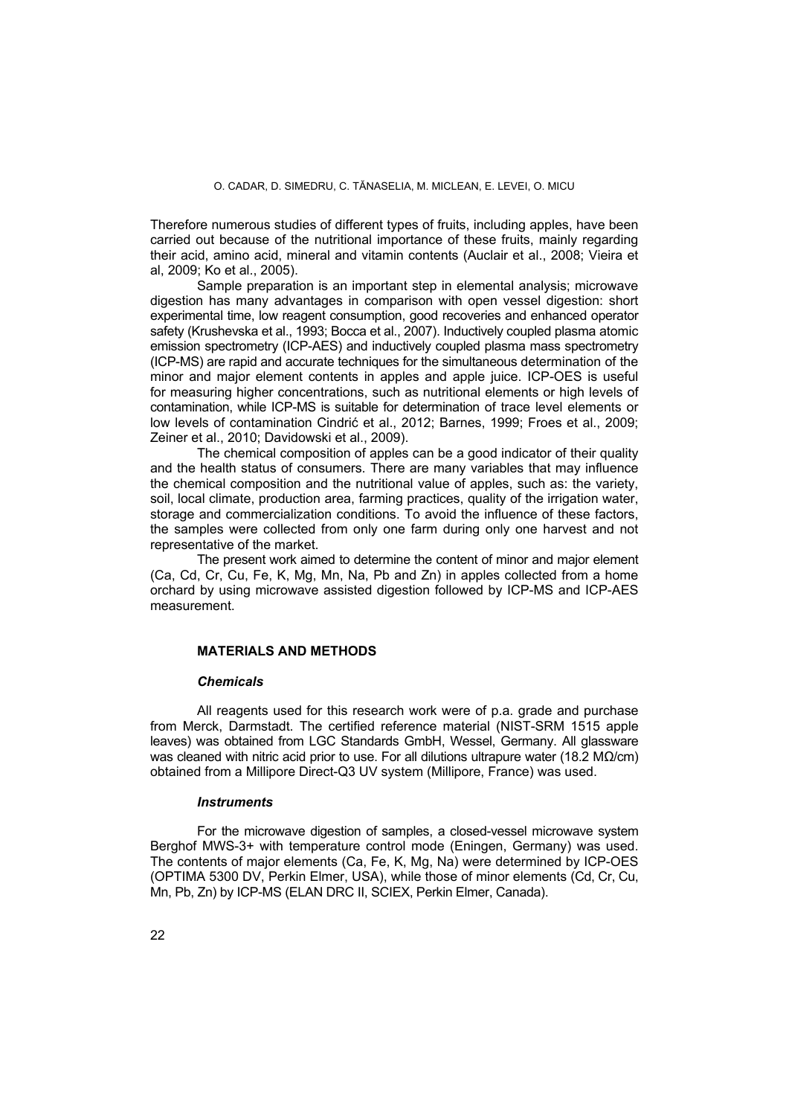Therefore numerous studies of different types of fruits, including apples, have been carried out because of the nutritional importance of these fruits, mainly regarding their acid, amino acid, mineral and vitamin contents (Auclair et al., 2008; Vieira et al, 2009; Ko et al., 2005).

Sample preparation is an important step in elemental analysis; microwave digestion has many advantages in comparison with open vessel digestion: short experimental time, low reagent consumption, good recoveries and enhanced operator safety (Krushevska et al., 1993; Bocca et al., 2007). Inductively coupled plasma atomic emission spectrometry (ICP-AES) and inductively coupled plasma mass spectrometry (ICP-MS) are rapid and accurate techniques for the simultaneous determination of the minor and major element contents in apples and apple juice. ICP-OES is useful for measuring higher concentrations, such as nutritional elements or high levels of contamination, while ICP-MS is suitable for determination of trace level elements or low levels of contamination Cindrić et al., 2012; Barnes, 1999; Froes et al., 2009; Zeiner et al., 2010; Davidowski et al., 2009).

The chemical composition of apples can be a good indicator of their quality and the health status of consumers. There are many variables that may influence the chemical composition and the nutritional value of apples, such as: the variety, soil, local climate, production area, farming practices, quality of the irrigation water, storage and commercialization conditions. To avoid the influence of these factors, the samples were collected from only one farm during only one harvest and not representative of the market.

The present work aimed to determine the content of minor and major element (Ca, Cd, Cr, Cu, Fe, K, Mg, Mn, Na, Pb and Zn) in apples collected from a home orchard by using microwave assisted digestion followed by ICP-MS and ICP-AES measurement.

# **MATERIALS AND METHODS**

## *Chemicals*

All reagents used for this research work were of p.a. grade and purchase from Merck, Darmstadt. The certified reference material (NIST-SRM 1515 apple leaves) was obtained from LGC Standards GmbH, Wessel, Germany. All glassware was cleaned with nitric acid prior to use. For all dilutions ultrapure water (18.2 MΩ/cm) obtained from a Millipore Direct-Q3 UV system (Millipore, France) was used.

### *Instruments*

For the microwave digestion of samples, a closed-vessel microwave system Berghof MWS-3+ with temperature control mode (Eningen, Germany) was used. The contents of major elements (Ca, Fe, K, Mg, Na) were determined by ICP-OES (OPTIMA 5300 DV, Perkin Elmer, USA), while those of minor elements (Cd, Cr, Cu, Mn, Pb, Zn) by ICP-MS (ELAN DRC II, SCIEX, Perkin Elmer, Canada).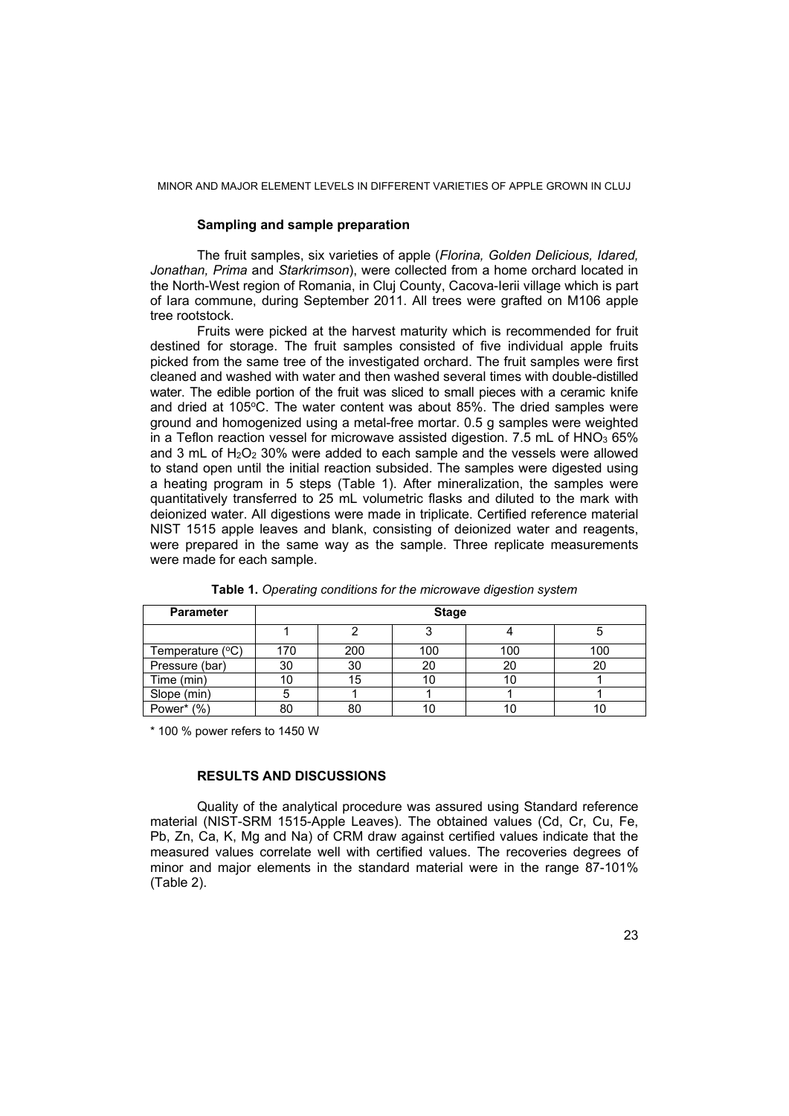#### MINOR AND MAJOR ELEMENT LEVELS IN DIFFERENT VARIETIES OF APPLE GROWN IN CLUJ

# **Sampling and sample preparation**

The fruit samples, six varieties of apple (*Florina, Golden Delicious, Idared, Jonathan, Prima* and *Starkrimson*), were collected from a home orchard located in the North-West region of Romania, in Cluj County, Cacova-Ierii village which is part of Iara commune, during September 2011. All trees were grafted on M106 apple tree rootstock.

Fruits were picked at the harvest maturity which is recommended for fruit destined for storage. The fruit samples consisted of five individual apple fruits picked from the same tree of the investigated orchard. The fruit samples were first cleaned and washed with water and then washed several times with double-distilled water. The edible portion of the fruit was sliced to small pieces with a ceramic knife and dried at  $105^{\circ}$ C. The water content was about 85%. The dried samples were ground and homogenized using a metal-free mortar. 0.5 g samples were weighted in a Teflon reaction vessel for microwave assisted digestion.  $7.5$  mL of HNO $_3$  65% and 3 mL of  $H_2O_2$  30% were added to each sample and the vessels were allowed to stand open until the initial reaction subsided. The samples were digested using a heating program in 5 steps (Table 1). After mineralization, the samples were quantitatively transferred to 25 mL volumetric flasks and diluted to the mark with deionized water. All digestions were made in triplicate. Certified reference material NIST 1515 apple leaves and blank, consisting of deionized water and reagents, were prepared in the same way as the sample. Three replicate measurements were made for each sample.

| <b>Parameter</b>          | <b>Stage</b> |     |     |     |     |  |
|---------------------------|--------------|-----|-----|-----|-----|--|
|                           |              |     |     |     |     |  |
| Temperature $(^{\circ}C)$ | 170          | 200 | 100 | 100 | 100 |  |
| Pressure (bar)            | 30           | 30  | 20  | 20  | 20  |  |
| Time (min)                |              | 15  | 10  |     |     |  |
| Slope (min)               |              |     |     |     |     |  |
| Power* (%)                | 80           |     |     |     |     |  |

**Table 1.** *Operating conditions for the microwave digestion system* 

\* 100 % power refers to 1450 W

# **RESULTS AND DISCUSSIONS**

Quality of the analytical procedure was assured using Standard reference material (NIST-SRM 1515-Apple Leaves). The obtained values (Cd, Cr, Cu, Fe, Pb, Zn, Ca, K, Mg and Na) of CRM draw against certified values indicate that the measured values correlate well with certified values. The recoveries degrees of minor and major elements in the standard material were in the range 87-101% (Table 2).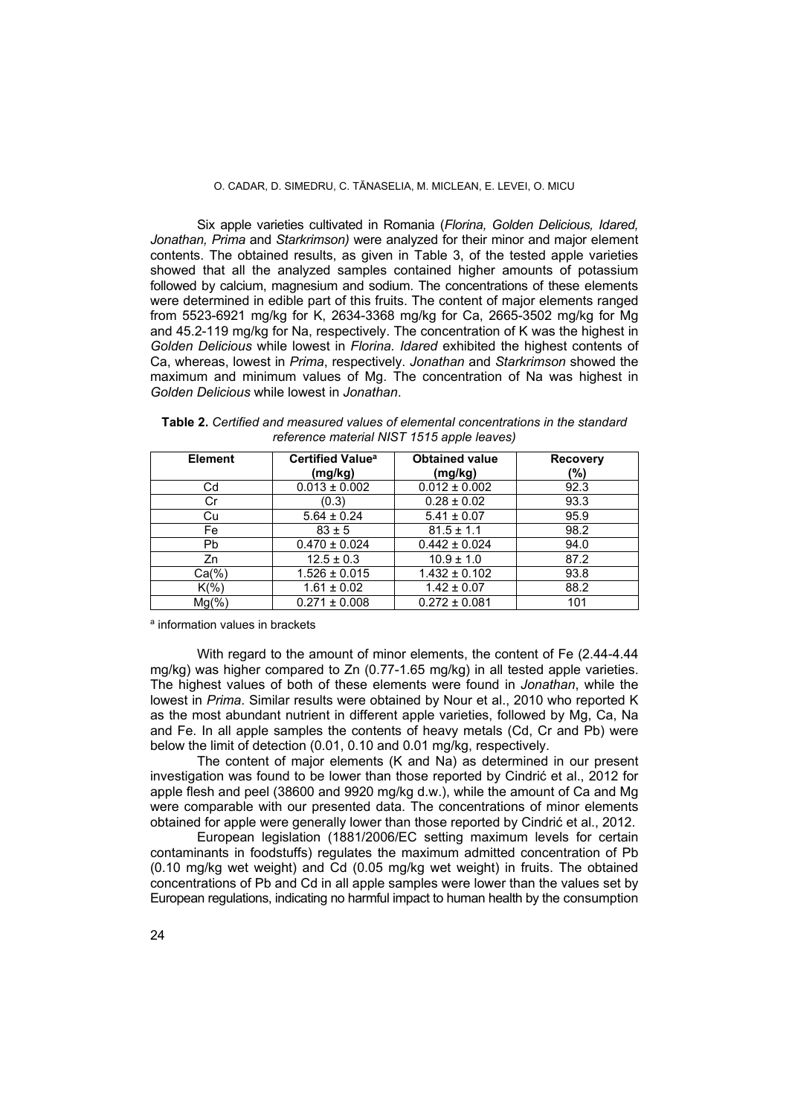#### O. CADAR, D. SIMEDRU, C. TĂNASELIA, M. MICLEAN, E. LEVEI, O. MICU

Six apple varieties cultivated in Romania (*Florina, Golden Delicious, Idared, Jonathan, Prima* and *Starkrimson)* were analyzed for their minor and major element contents. The obtained results, as given in Table 3, of the tested apple varieties showed that all the analyzed samples contained higher amounts of potassium followed by calcium, magnesium and sodium. The concentrations of these elements were determined in edible part of this fruits. The content of major elements ranged from 5523-6921 mg/kg for K, 2634-3368 mg/kg for Ca, 2665-3502 mg/kg for Mg and 45.2-119 mg/kg for Na, respectively. The concentration of K was the highest in *Golden Delicious* while lowest in *Florina. Idared* exhibited the highest contents of Ca, whereas, lowest in *Prima*, respectively. *Jonathan* and *Starkrimson* showed the maximum and minimum values of Mg. The concentration of Na was highest in *Golden Delicious* while lowest in *Jonathan*.

**Table 2.** *Certified and measured values of elemental concentrations in the standard reference material NIST 1515 apple leaves)* 

| <b>Element</b> | <b>Certified Value<sup>a</sup></b> | <b>Obtained value</b> | <b>Recovery</b> |  |
|----------------|------------------------------------|-----------------------|-----------------|--|
|                | (mg/kg)                            | (mg/kg)               | (%)             |  |
| Cd             | $0.013 \pm 0.002$                  | $0.012 \pm 0.002$     | 92.3            |  |
| Cr             | (0.3)                              | $0.28 \pm 0.02$       | 93.3            |  |
| Cu             | $5.64 \pm 0.24$                    | $5.41 \pm 0.07$       | 95.9            |  |
| Fe             | $83 \pm 5$                         | $81.5 \pm 1.1$        | 98.2            |  |
| Pb             | $0.470 \pm 0.024$                  | $0.442 \pm 0.024$     | 94.0            |  |
| Zn             | $12.5 \pm 0.3$                     | $10.9 \pm 1.0$        | 87.2            |  |
| $Ca(\% )$      | $1.526 \pm 0.015$                  | $1.432 \pm 0.102$     | 93.8            |  |
| $K(\%)$        | $1.61 \pm 0.02$                    | $1.42 \pm 0.07$       | 88.2            |  |
| $Mg(\% )$      | $0.271 \pm 0.008$                  | $0.272 \pm 0.081$     | 101             |  |

a information values in brackets

With regard to the amount of minor elements, the content of Fe  $(2.44-4.44)$ mg/kg) was higher compared to Zn (0.77-1.65 mg/kg) in all tested apple varieties. The highest values of both of these elements were found in *Jonathan*, while the lowest in *Prima*. Similar results were obtained by Nour et al., 2010 who reported K as the most abundant nutrient in different apple varieties, followed by Mg, Ca, Na and Fe. In all apple samples the contents of heavy metals (Cd, Cr and Pb) were below the limit of detection (0.01, 0.10 and 0.01 mg/kg, respectively.

The content of major elements (K and Na) as determined in our present investigation was found to be lower than those reported by Cindrić et al., 2012 for apple flesh and peel (38600 and 9920 mg/kg d.w.), while the amount of Ca and Mg were comparable with our presented data. The concentrations of minor elements obtained for apple were generally lower than those reported by Cindrić et al., 2012.

European legislation (1881/2006/EC setting maximum levels for certain contaminants in foodstuffs) regulates the maximum admitted concentration of Pb (0.10 mg/kg wet weight) and Cd (0.05 mg/kg wet weight) in fruits. The obtained concentrations of Pb and Cd in all apple samples were lower than the values set by European regulations, indicating no harmful impact to human health by the consumption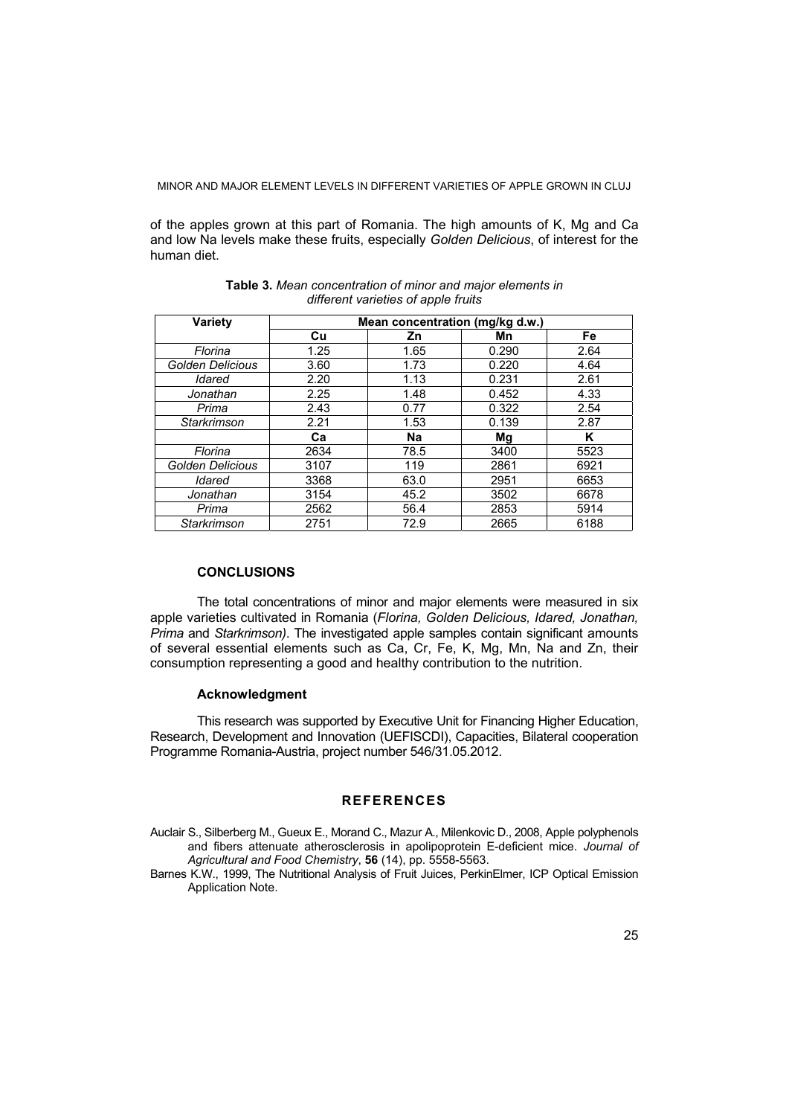MINOR AND MAJOR ELEMENT LEVELS IN DIFFERENT VARIETIES OF APPLE GROWN IN CLUJ

of the apples grown at this part of Romania. The high amounts of K, Mg and Ca and low Na levels make these fruits, especially *Golden Delicious*, of interest for the human diet.

| <b>Variety</b>     | Mean concentration (mg/kg d.w.) |           |       |      |  |  |
|--------------------|---------------------------------|-----------|-------|------|--|--|
|                    | Cu                              | Zn        | Mn    | Fe   |  |  |
| Florina            | 1.25                            | 1.65      | 0.290 | 2.64 |  |  |
| Golden Delicious   | 3.60                            | 1.73      | 0.220 | 4.64 |  |  |
| Idared             | 2.20                            | 1.13      | 0.231 | 2.61 |  |  |
| Jonathan           | 2.25                            | 1.48      | 0.452 | 4.33 |  |  |
| Prima              | 2.43                            | 0.77      | 0.322 | 2.54 |  |  |
| <b>Starkrimson</b> | 2.21                            | 1.53      | 0.139 | 2.87 |  |  |
|                    | Сa                              | <b>Na</b> | Mg    | Κ    |  |  |
| Florina            | 2634                            | 78.5      | 3400  | 5523 |  |  |
| Golden Delicious   | 3107                            | 119       | 2861  | 6921 |  |  |
| Idared             | 3368                            | 63.0      | 2951  | 6653 |  |  |
| Jonathan           | 3154                            | 45.2      | 3502  | 6678 |  |  |
| Prima              | 2562                            | 56.4      | 2853  | 5914 |  |  |
| Starkrimson        | 2751                            | 72.9      | 2665  | 6188 |  |  |

### **Table 3.** *Mean concentration of minor and major elements in different varieties of apple fruits*

# **CONCLUSIONS**

The total concentrations of minor and major elements were measured in six apple varieties cultivated in Romania (*Florina, Golden Delicious, Idared, Jonathan, Prima* and *Starkrimson)*. The investigated apple samples contain significant amounts of several essential elements such as Ca, Cr, Fe, K, Mg, Mn, Na and Zn, their consumption representing a good and healthy contribution to the nutrition.

## **Acknowledgment**

This research was supported by Executive Unit for Financing Higher Education, Research, Development and Innovation (UEFISCDI), Capacities, Bilateral cooperation Programme Romania-Austria, project number 546/31.05.2012.

# **REFERENCES**

Auclair S., Silberberg M., Gueux E., Morand C., Mazur A., Milenkovic D., 2008, Apple polyphenols and fibers attenuate atherosclerosis in apolipoprotein E-deficient mice. *Journal of Agricultural and Food Chemistry*, **56** (14), pp. 5558-5563.

Barnes K.W., 1999, The Nutritional Analysis of Fruit Juices, PerkinElmer, ICP Optical Emission Application Note.